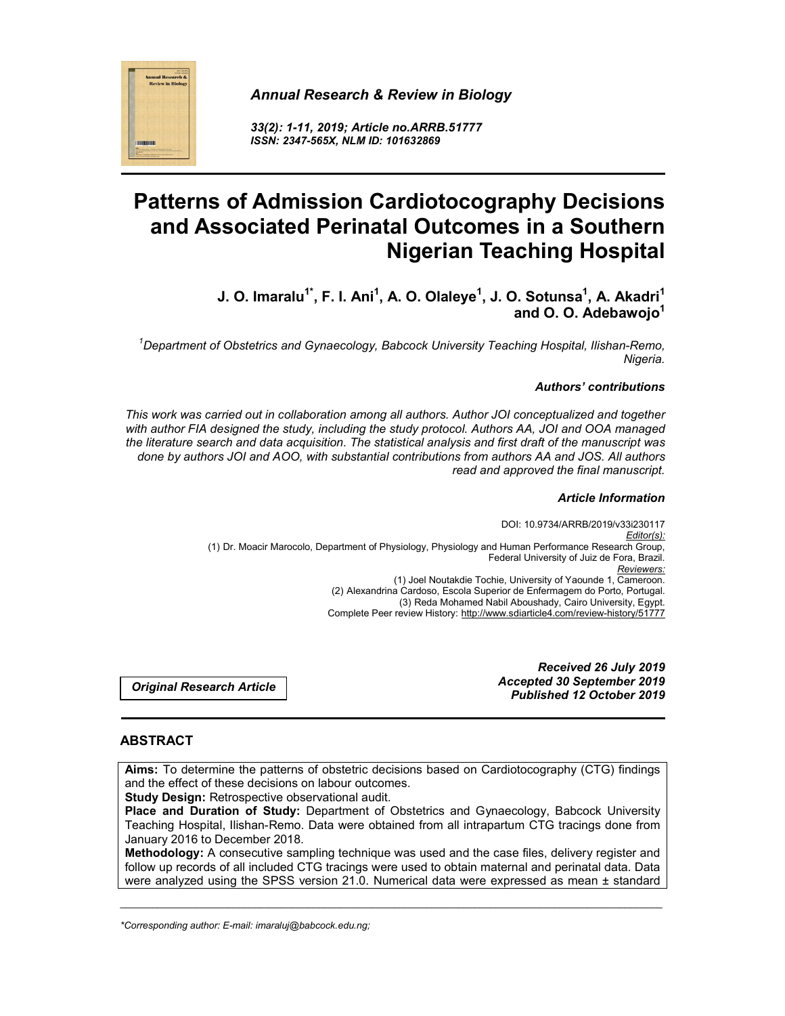# *Annual Research & Review in Biology*



*33(2): 1-11, 2019; Article no.ARRB.51777 ISSN: 2347-565X, NLM ID: 101632869*

# **Patterns of Admission Cardiotocography Decisions and Associated Perinatal Outcomes in a Southern Nigerian Teaching Hospital**

**J. O. Imaralu** $^{1^*}$ **, F. I. Ani** $^{1}$ **, A. O. Olaleye** $^{1}$ **, J. O. Sotunsa** $^{1}$ **, A. Akadri** $^{1}$ **and O. O. Adebawojo1**

*1 Department of Obstetrics and Gynaecology, Babcock University Teaching Hospital, Ilishan-Remo, Nigeria.*

## *Authors' contributions*

*This work was carried out in collaboration among all authors. Author JOI conceptualized and together with author FIA designed the study, including the study protocol. Authors AA, JOI and OOA managed the literature search and data acquisition. The statistical analysis and first draft of the manuscript was done by authors JOI and AOO, with substantial contributions from authors AA and JOS. All authors read and approved the final manuscript.*

#### *Article Information*

DOI: 10.9734/ARRB/2019/v33i230117 *Editor(s):* (1) Dr. Moacir Marocolo, Department of Physiology, Physiology and Human Performance Research Group, Federal University of Juiz de Fora, Brazil. *Reviewers:* (1) Joel Noutakdie Tochie, University of Yaounde 1, Cameroon. (2) Alexandrina Cardoso, Escola Superior de Enfermagem do Porto, Portugal. (3) Reda Mohamed Nabil Aboushady, Cairo University, Egypt. Complete Peer review History: http://www.sdiarticle4.com/review-history/51777

*Original Research Article*

*Received 26 July 2019 Accepted 30 September 2019 Published 12 October 2019*

## **ABSTRACT**

**Aims:** To determine the patterns of obstetric decisions based on Cardiotocography (CTG) findings and the effect of these decisions on labour outcomes.

**Study Design:** Retrospective observational audit.

**Place and Duration of Study:** Department of Obstetrics and Gynaecology, Babcock University Teaching Hospital, Ilishan-Remo. Data were obtained from all intrapartum CTG tracings done from January 2016 to December 2018.

**Methodology:** A consecutive sampling technique was used and the case files, delivery register and follow up records of all included CTG tracings were used to obtain maternal and perinatal data. Data were analyzed using the SPSS version 21.0. Numerical data were expressed as mean ± standard

\_\_\_\_\_\_\_\_\_\_\_\_\_\_\_\_\_\_\_\_\_\_\_\_\_\_\_\_\_\_\_\_\_\_\_\_\_\_\_\_\_\_\_\_\_\_\_\_\_\_\_\_\_\_\_\_\_\_\_\_\_\_\_\_\_\_\_\_\_\_\_\_\_\_\_\_\_\_\_\_\_\_\_\_\_\_\_\_\_\_\_\_\_\_\_\_\_\_\_\_\_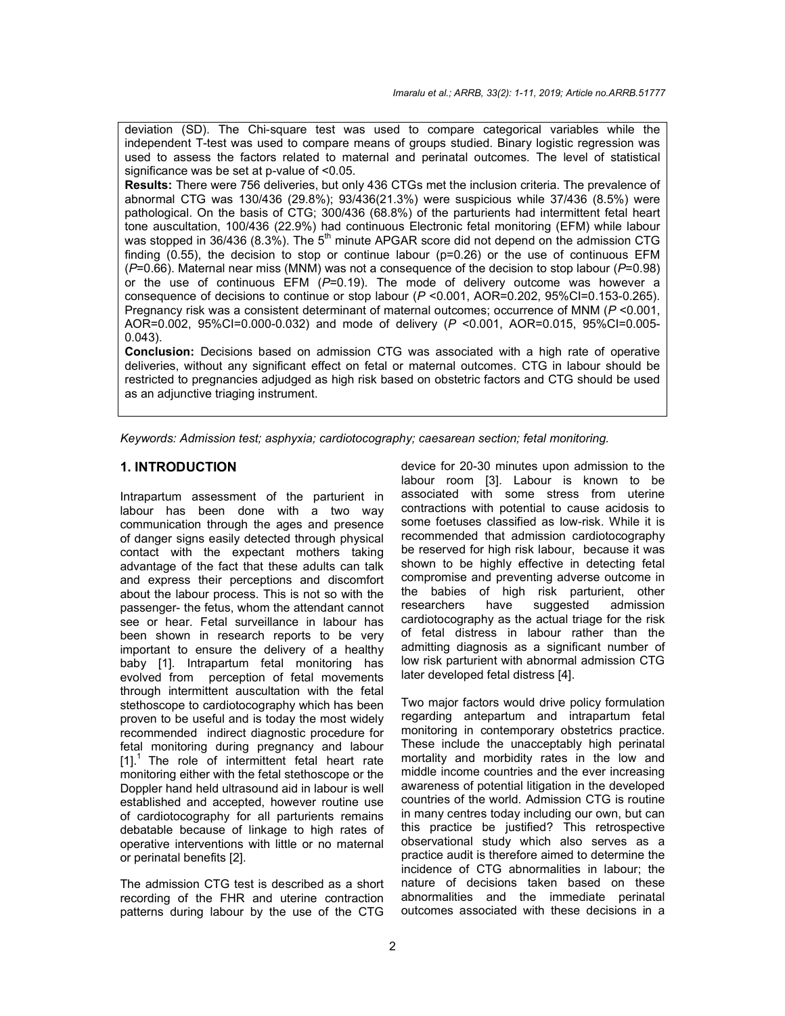deviation (SD). The Chi-square test was used to compare categorical variables while the independent T-test was used to compare means of groups studied. Binary logistic regression was used to assess the factors related to maternal and perinatal outcomes. The level of statistical significance was be set at p-value of <0.05.

**Results:** There were 756 deliveries, but only 436 CTGs met the inclusion criteria. The prevalence of abnormal CTG was 130/436 (29.8%); 93/436(21.3%) were suspicious while 37/436 (8.5%) were pathological. On the basis of CTG; 300/436 (68.8%) of the parturients had intermittent fetal heart tone auscultation, 100/436 (22.9%) had continuous Electronic fetal monitoring (EFM) while labour was stopped in 36/436 (8.3%). The  $5<sup>th</sup>$  minute APGAR score did not depend on the admission CTG finding (0.55), the decision to stop or continue labour ( $p=0.26$ ) or the use of continuous EFM (*P*=0.66). Maternal near miss (MNM) was not a consequence of the decision to stop labour (*P*=0.98) or the use of continuous EFM (*P*=0.19). The mode of delivery outcome was however a consequence of decisions to continue or stop labour ( $P$  <0.001, AOR=0.202, 95%CI=0.153-0.265). Pregnancy risk was a consistent determinant of maternal outcomes; occurrence of MNM (*P* <0.001, AOR=0.002, 95%CI=0.000-0.032) and mode of delivery (*P* <0.001, AOR=0.015, 95%CI=0.005- 0.043).

**Conclusion:** Decisions based on admission CTG was associated with a high rate of operative deliveries, without any significant effect on fetal or maternal outcomes. CTG in labour should be restricted to pregnancies adjudged as high risk based on obstetric factors and CTG should be used as an adjunctive triaging instrument.

*Keywords: Admission test; asphyxia; cardiotocography; caesarean section; fetal monitoring.*

## **1. INTRODUCTION**

Intrapartum assessment of the parturient in labour has been done with a two way communication through the ages and presence of danger signs easily detected through physical contact with the expectant mothers taking advantage of the fact that these adults can talk and express their perceptions and discomfort about the labour process. This is not so with the passenger- the fetus, whom the attendant cannot see or hear. Fetal surveillance in labour has been shown in research reports to be very important to ensure the delivery of a healthy baby [1]. Intrapartum fetal monitoring has evolved from perception of fetal movements through intermittent auscultation with the fetal stethoscope to cardiotocography which has been proven to be useful and is today the most widely recommended indirect diagnostic procedure for fetal monitoring during pregnancy and labour  $[1]$ .<sup>1</sup> The role of intermittent fetal heart rate monitoring either with the fetal stethoscope or the Doppler hand held ultrasound aid in labour is well established and accepted, however routine use of cardiotocography for all parturients remains debatable because of linkage to high rates of operative interventions with little or no maternal or perinatal benefits [2].

The admission CTG test is described as a short recording of the FHR and uterine contraction patterns during labour by the use of the CTG device for 20-30 minutes upon admission to the labour room [3]. Labour is known to be associated with some stress from uterine contractions with potential to cause acidosis to some foetuses classified as low-risk. While it is recommended that admission cardiotocography be reserved for high risk labour, because it was shown to be highly effective in detecting fetal compromise and preventing adverse outcome in the babies of high risk parturient, other researchers have suggested admission cardiotocography as the actual triage for the risk of fetal distress in labour rather than the admitting diagnosis as a significant number of low risk parturient with abnormal admission CTG later developed fetal distress [4].

Two major factors would drive policy formulation regarding antepartum and intrapartum fetal monitoring in contemporary obstetrics practice. These include the unacceptably high perinatal mortality and morbidity rates in the low and middle income countries and the ever increasing awareness of potential litigation in the developed countries of the world. Admission CTG is routine in many centres today including our own, but can this practice be justified? This retrospective observational study which also serves as a practice audit is therefore aimed to determine the incidence of CTG abnormalities in labour; the nature of decisions taken based on these abnormalities and the immediate perinatal outcomes associated with these decisions in a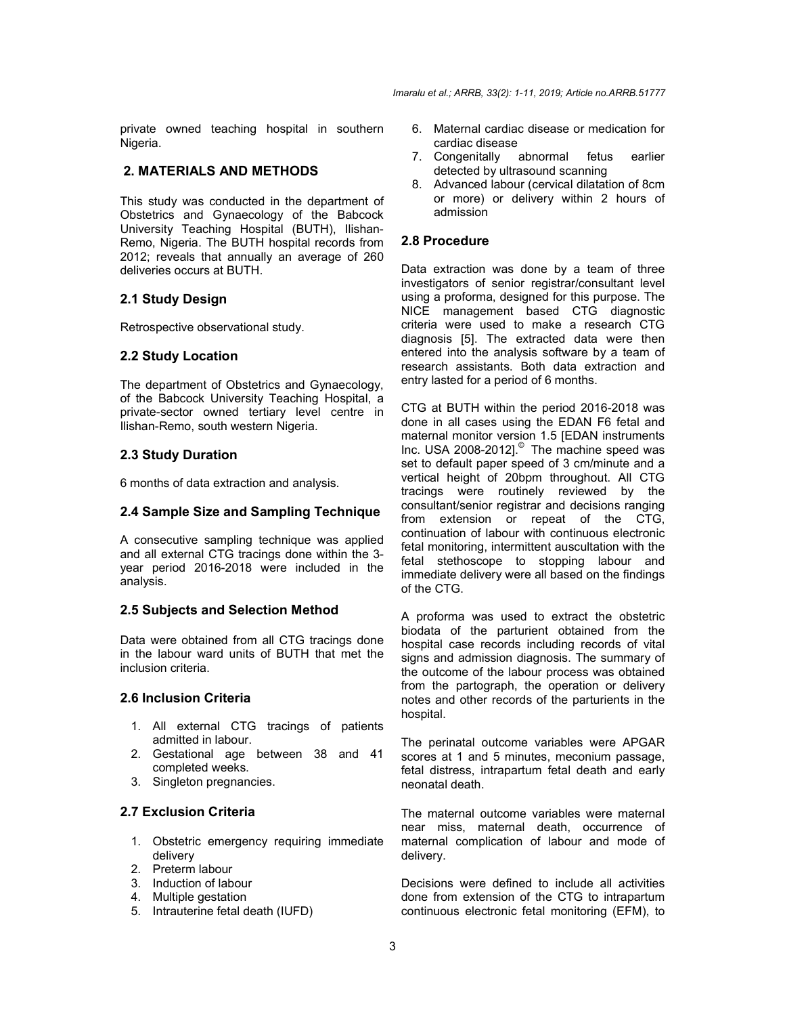private owned teaching hospital in southern Nigeria.

## **2. MATERIALS AND METHODS**

This study was conducted in the department of Obstetrics and Gynaecology of the Babcock University Teaching Hospital (BUTH), Ilishan-Remo, Nigeria. The BUTH hospital records from 2012; reveals that annually an average of 260 deliveries occurs at BUTH.

## **2.1 Study Design**

Retrospective observational study.

## **2.2 Study Location**

The department of Obstetrics and Gynaecology, of the Babcock University Teaching Hospital, a private-sector owned tertiary level centre in Ilishan-Remo, south western Nigeria.

#### **2.3 Study Duration**

6 months of data extraction and analysis.

#### **2.4 Sample Size and Sampling Technique**

A consecutive sampling technique was applied and all external CTG tracings done within the 3 year period 2016-2018 were included in the analysis.

#### **2.5 Subjects and Selection Method**

Data were obtained from all CTG tracings done in the labour ward units of BUTH that met the inclusion criteria.

## **2.6 Inclusion Criteria**

- 1. All external CTG tracings of patients admitted in labour.
- 2. Gestational age between 38 and 41 completed weeks.
- 3. Singleton pregnancies.

# **2.7 Exclusion Criteria**

- 1. Obstetric emergency requiring immediate delivery
- 2. Preterm labour
- 3. Induction of labour
- 4. Multiple gestation
- 5. Intrauterine fetal death (IUFD)
- 6. Maternal cardiac disease or medication for cardiac disease
- 7. Congenitally abnormal fetus earlier detected by ultrasound scanning
- 8. Advanced labour (cervical dilatation of 8cm or more) or delivery within 2 hours of admission

#### **2.8 Procedure**

Data extraction was done by a team of three investigators of senior registrar/consultant level using a proforma, designed for this purpose. The NICE management based CTG diagnostic criteria were used to make a research CTG diagnosis [5]. The extracted data were then entered into the analysis software by a team of research assistants. Both data extraction and entry lasted for a period of 6 months.

CTG at BUTH within the period 2016-2018 was done in all cases using the EDAN F6 fetal and maternal monitor version 1.5 [EDAN instruments Inc. USA 2008-2012].© The machine speed was set to default paper speed of 3 cm/minute and a vertical height of 20bpm throughout. All CTG tracings were routinely reviewed by the consultant/senior registrar and decisions ranging from extension or repeat of the CTG, continuation of labour with continuous electronic fetal monitoring, intermittent auscultation with the fetal stethoscope to stopping labour and immediate delivery were all based on the findings of the CTG.

A proforma was used to extract the obstetric biodata of the parturient obtained from the hospital case records including records of vital signs and admission diagnosis. The summary of the outcome of the labour process was obtained from the partograph, the operation or delivery notes and other records of the parturients in the hospital.

The perinatal outcome variables were APGAR scores at 1 and 5 minutes, meconium passage, fetal distress, intrapartum fetal death and early neonatal death.

The maternal outcome variables were maternal near miss, maternal death, occurrence of maternal complication of labour and mode of delivery.

Decisions were defined to include all activities done from extension of the CTG to intrapartum continuous electronic fetal monitoring (EFM), to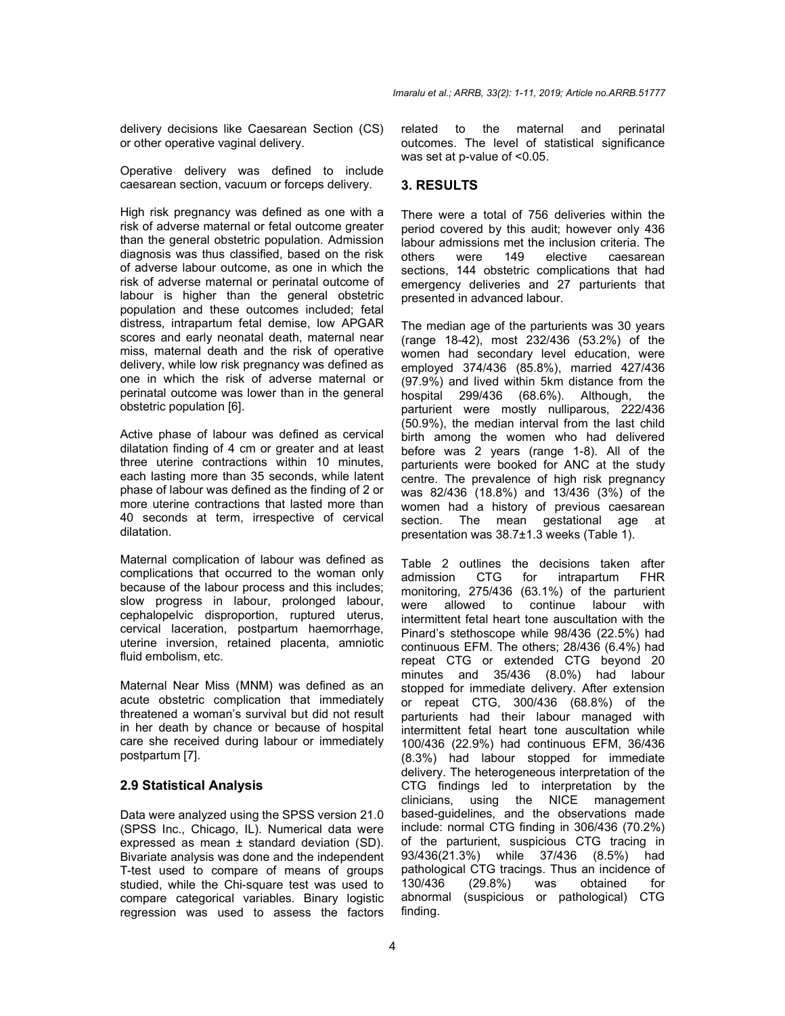delivery decisions like Caesarean Section (CS) or other operative vaginal delivery.

Operative delivery was defined to include caesarean section, vacuum or forceps delivery.

High risk pregnancy was defined as one with a risk of adverse maternal or fetal outcome greater than the general obstetric population. Admission diagnosis was thus classified, based on the risk of adverse labour outcome, as one in which the risk of adverse maternal or perinatal outcome of labour is higher than the general obstetric population and these outcomes included; fetal distress, intrapartum fetal demise, low APGAR scores and early neonatal death, maternal near miss, maternal death and the risk of operative delivery, while low risk pregnancy was defined as one in which the risk of adverse maternal or perinatal outcome was lower than in the general obstetric population [6].

Active phase of labour was defined as cervical dilatation finding of 4 cm or greater and at least three uterine contractions within 10 minutes, each lasting more than 35 seconds, while latent phase of labour was defined as the finding of 2 or more uterine contractions that lasted more than 40 seconds at term, irrespective of cervical dilatation.

Maternal complication of labour was defined as complications that occurred to the woman only because of the labour process and this includes; slow progress in labour, prolonged labour, cephalopelvic disproportion, ruptured uterus, cervical laceration, postpartum haemorrhage, uterine inversion, retained placenta, amniotic fluid embolism, etc.

Maternal Near Miss (MNM) was defined as an acute obstetric complication that immediately threatened a woman's survival but did not result in her death by chance or because of hospital care she received during labour or immediately postpartum [7].

## **2.9 Statistical Analysis**

Data were analyzed using the SPSS version 21.0 (SPSS Inc., Chicago, IL). Numerical data were expressed as mean ± standard deviation (SD). Bivariate analysis was done and the independent T-test used to compare of means of groups studied, while the Chi-square test was used to compare categorical variables. Binary logistic regression was used to assess the factors related to the maternal and perinatal outcomes. The level of statistical significance was set at p-value of <0.05.

## **3. RESULTS**

There were a total of 756 deliveries within the period covered by this audit; however only 436 labour admissions met the inclusion criteria. The others were 149 elective caesarean others were 149 elective caesarean sections, 144 obstetric complications that had emergency deliveries and 27 parturients that presented in advanced labour.

The median age of the parturients was 30 years (range 18-42), most 232/436 (53.2%) of the women had secondary level education, were employed 374/436 (85.8%), married 427/436 (97.9%) and lived within 5km distance from the hospital 299/436 (68.6%). Although, the parturient were mostly nulliparous, 222/436 (50.9%), the median interval from the last child birth among the women who had delivered before was 2 years (range 1-8). All of the parturients were booked for ANC at the study centre. The prevalence of high risk pregnancy was 82/436 (18.8%) and 13/436 (3%) of the women had a history of previous caesarean section. The mean gestational age at presentation was 38.7±1.3 weeks (Table 1).

Table 2 outlines the decisions taken after<br>admission CTG for intrapartum FHR admission CTG for intrapartum monitoring, 275/436 (63.1%) of the parturient were allowed to continue labour with intermittent fetal heart tone auscultation with the Pinard's stethoscope while 98/436 (22.5%) had continuous EFM. The others; 28/436 (6.4%) had repeat CTG or extended CTG beyond 20 minutes and 35/436 (8.0%) had labour stopped for immediate delivery. After extension or repeat CTG, 300/436 (68.8%) of the parturients had their labour managed with intermittent fetal heart tone auscultation while 100/436 (22.9%) had continuous EFM, 36/436 (8.3%) had labour stopped for immediate delivery. The heterogeneous interpretation of the CTG findings led to interpretation by the clinicians, using the NICE management based-guidelines, and the observations made include: normal CTG finding in 306/436 (70.2%) of the parturient, suspicious CTG tracing in 93/436(21.3%) while 37/436 (8.5%) had pathological CTG tracings. Thus an incidence of 130/436 (29.8%) was obtained for abnormal (suspicious or pathological) CTG finding.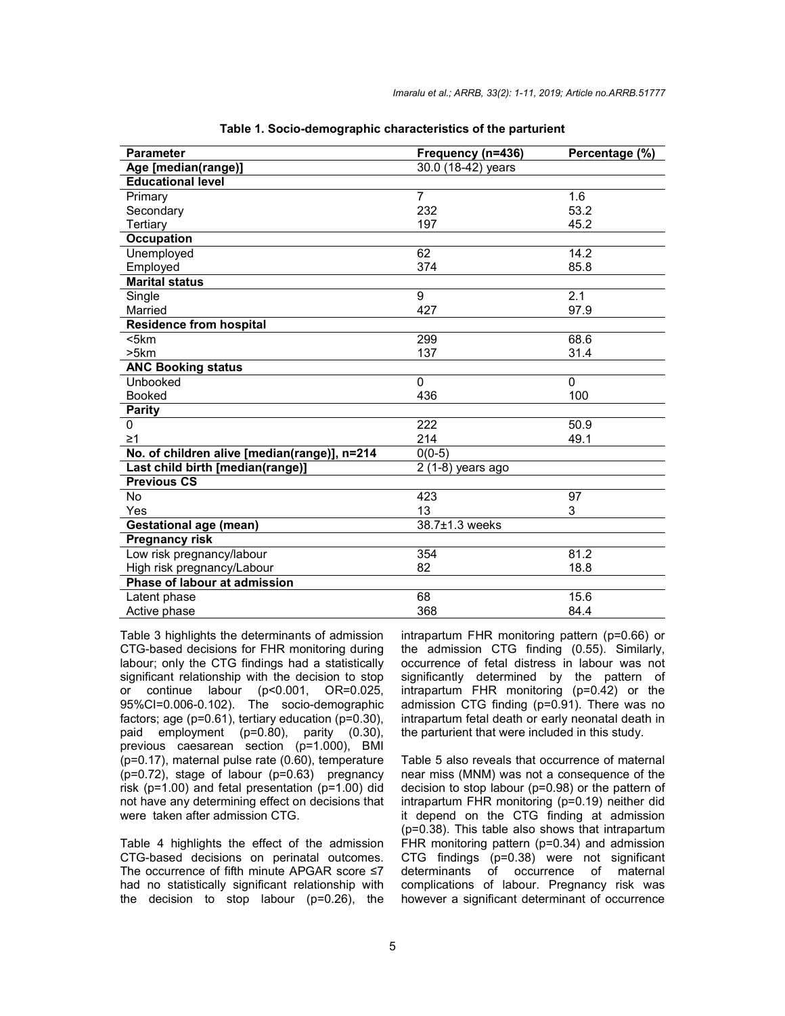| <b>Parameter</b>                             | Frequency (n=436)    | Percentage (%) |
|----------------------------------------------|----------------------|----------------|
| Age [median(range)]                          | $30.0$ (18-42) years |                |
| <b>Educational level</b>                     |                      |                |
| Primary                                      | $\overline{7}$       | 1.6            |
| Secondary                                    | 232                  | 53.2           |
| Tertiary                                     | 197                  | 45.2           |
| <b>Occupation</b>                            |                      |                |
| Unemployed                                   | 62                   | 14.2           |
| Employed                                     | 374                  | 85.8           |
| <b>Marital status</b>                        |                      |                |
| Single                                       | $\overline{9}$       | 2.1            |
| Married                                      | 427                  | 97.9           |
| <b>Residence from hospital</b>               |                      |                |
| $<$ 5 $km$                                   | 299                  | 68.6           |
| >5km                                         | 137                  | 31.4           |
| <b>ANC Booking status</b>                    |                      |                |
| Unbooked                                     | $\Omega$             | $\Omega$       |
| <b>Booked</b>                                | 436                  | 100            |
| <b>Parity</b>                                |                      |                |
| 0                                            | 222                  | 50.9           |
| $\geq 1$                                     | 214                  | 49.1           |
| No. of children alive [median(range)], n=214 | $0(0-5)$             |                |
| Last child birth [median(range)]             | 2 (1-8) years ago    |                |
| <b>Previous CS</b>                           |                      |                |
| No                                           | 423                  | 97             |
| Yes                                          | 13                   | 3              |
| <b>Gestational age (mean)</b>                | 38.7±1.3 weeks       |                |
| <b>Pregnancy risk</b>                        |                      |                |
| Low risk pregnancy/labour                    | 354                  | 81.2           |
| High risk pregnancy/Labour                   | 82                   | 18.8           |
| Phase of labour at admission                 |                      |                |
| Latent phase                                 | 68                   | 15.6           |
| Active phase                                 | 368                  | 84.4           |

**Table 1. Socio-demographic characteristics of the parturient**

Table 3 highlights the determinants of admission CTG-based decisions for FHR monitoring during labour; only the CTG findings had a statistically significant relationship with the decision to stop or continue labour (p<0.001, OR=0.025, 95%CI=0.006-0.102). The socio-demographic factors; age (p=0.61), tertiary education (p=0.30), paid employment (p=0.80), parity (0.30), previous caesarean section (p=1.000), BMI (p=0.17), maternal pulse rate (0.60), temperature (p=0.72), stage of labour (p=0.63) pregnancy risk (p=1.00) and fetal presentation (p=1.00) did not have any determining effect on decisions that were taken after admission CTG.

Table 4 highlights the effect of the admission CTG-based decisions on perinatal outcomes. The occurrence of fifth minute APGAR score ≤7 had no statistically significant relationship with the decision to stop labour (p=0.26), the intrapartum FHR monitoring pattern (p=0.66) or the admission CTG finding (0.55). Similarly, occurrence of fetal distress in labour was not significantly determined by the pattern of intrapartum FHR monitoring (p=0.42) or the admission CTG finding (p=0.91). There was no intrapartum fetal death or early neonatal death in the parturient that were included in this study.

Table 5 also reveals that occurrence of maternal near miss (MNM) was not a consequence of the decision to stop labour (p=0.98) or the pattern of intrapartum FHR monitoring (p=0.19) neither did it depend on the CTG finding at admission (p=0.38). This table also shows that intrapartum FHR monitoring pattern (p=0.34) and admission CTG findings (p=0.38) were not significant determinants of occurrence of maternal complications of labour. Pregnancy risk was however a significant determinant of occurrence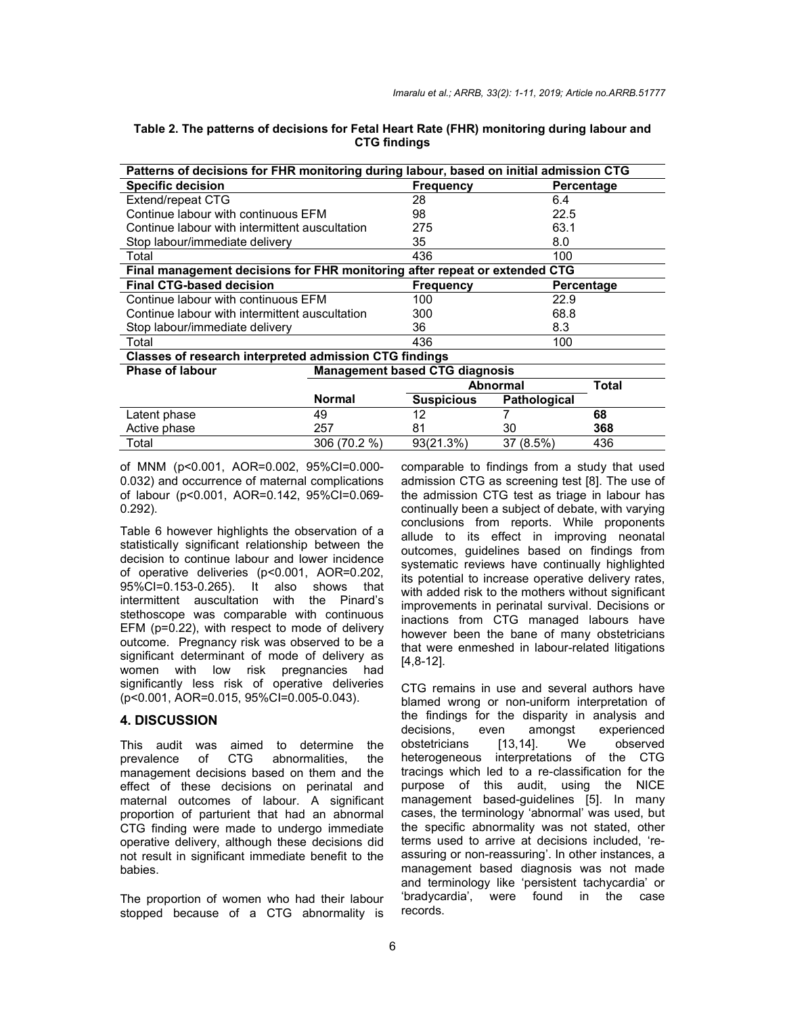| Patterns of decisions for FHR monitoring during labour, based on initial admission CTG |               |                                       |              |            |  |  |
|----------------------------------------------------------------------------------------|---------------|---------------------------------------|--------------|------------|--|--|
| <b>Specific decision</b>                                                               |               | <b>Frequency</b>                      |              | Percentage |  |  |
| Extend/repeat CTG                                                                      |               | 28                                    | 6.4          |            |  |  |
| Continue labour with continuous EFM                                                    |               | 98                                    | 22.5         |            |  |  |
| Continue labour with intermittent auscultation                                         |               | 275                                   | 63.1         |            |  |  |
| Stop labour/immediate delivery                                                         |               | 35                                    | 8.0          |            |  |  |
| Total                                                                                  |               | 436                                   | 100          |            |  |  |
| Final management decisions for FHR monitoring after repeat or extended CTG             |               |                                       |              |            |  |  |
| <b>Final CTG-based decision</b>                                                        |               | <b>Frequency</b>                      |              | Percentage |  |  |
| Continue labour with continuous EFM                                                    |               | 100                                   | 22.9         |            |  |  |
| Continue labour with intermittent auscultation                                         |               | 300                                   |              |            |  |  |
| Stop labour/immediate delivery                                                         |               | 36                                    | 8.3          |            |  |  |
| Total                                                                                  |               | 436                                   | 100          |            |  |  |
| <b>Classes of research interpreted admission CTG findings</b>                          |               |                                       |              |            |  |  |
| <b>Phase of labour</b>                                                                 |               | <b>Management based CTG diagnosis</b> |              |            |  |  |
|                                                                                        |               | <b>Abnormal</b><br>Total              |              |            |  |  |
|                                                                                        | <b>Normal</b> | <b>Suspicious</b>                     | Pathological |            |  |  |
| Latent phase                                                                           | 49            | 12                                    |              | 68         |  |  |
| Active phase                                                                           | 257           | 81                                    | 30           | 368        |  |  |

Total 306 (70.2 %) 93(21.3%) 37 (8.5%) 436

|  | Table 2. The patterns of decisions for Fetal Heart Rate (FHR) monitoring during labour and |                     |  |  |
|--|--------------------------------------------------------------------------------------------|---------------------|--|--|
|  |                                                                                            | <b>CTG findings</b> |  |  |

of MNM (p<0.001, AOR=0.002, 95%CI=0.000- 0.032) and occurrence of maternal complications of labour (p<0.001, AOR=0.142, 95%CI=0.069- 0.292).

Table 6 however highlights the observation of a statistically significant relationship between the decision to continue labour and lower incidence of operative deliveries (p<0.001, AOR=0.202, 95%CI=0.153-0.265). It also shows that intermittent auscultation with the Pinard's stethoscope was comparable with continuous EFM (p=0.22), with respect to mode of delivery outcome. Pregnancy risk was observed to be a significant determinant of mode of delivery as women with low risk pregnancies had significantly less risk of operative deliveries (p<0.001, AOR=0.015, 95%CI=0.005-0.043).

#### **4. DISCUSSION**

This audit was aimed to determine the prevalence of CTG abnormalities, the management decisions based on them and the effect of these decisions on perinatal and maternal outcomes of labour. A significant proportion of parturient that had an abnormal CTG finding were made to undergo immediate operative delivery, although these decisions did not result in significant immediate benefit to the babies.

The proportion of women who had their labour stopped because of a CTG abnormality is comparable to findings from a study that used admission CTG as screening test [8]. The use of the admission CTG test as triage in labour has continually been a subject of debate, with varying conclusions from reports. While proponents allude to its effect in improving neonatal outcomes, guidelines based on findings from systematic reviews have continually highlighted its potential to increase operative delivery rates, with added risk to the mothers without significant improvements in perinatal survival. Decisions or inactions from CTG managed labours have however been the bane of many obstetricians that were enmeshed in labour-related litigations [4,8-12].

CTG remains in use and several authors have blamed wrong or non-uniform interpretation of the findings for the disparity in analysis and decisions, even amongst experienced obstetricians [13,14]. We observed heterogeneous interpretations of the CTG tracings which led to a re-classification for the purpose of this audit, using the NICE management based-guidelines [5]. In many cases, the terminology 'abnormal' was used, but the specific abnormality was not stated, other terms used to arrive at decisions included, 'reassuring or non-reassuring'. In other instances, a management based diagnosis was not made and terminology like 'persistent tachycardia' or found in the case records.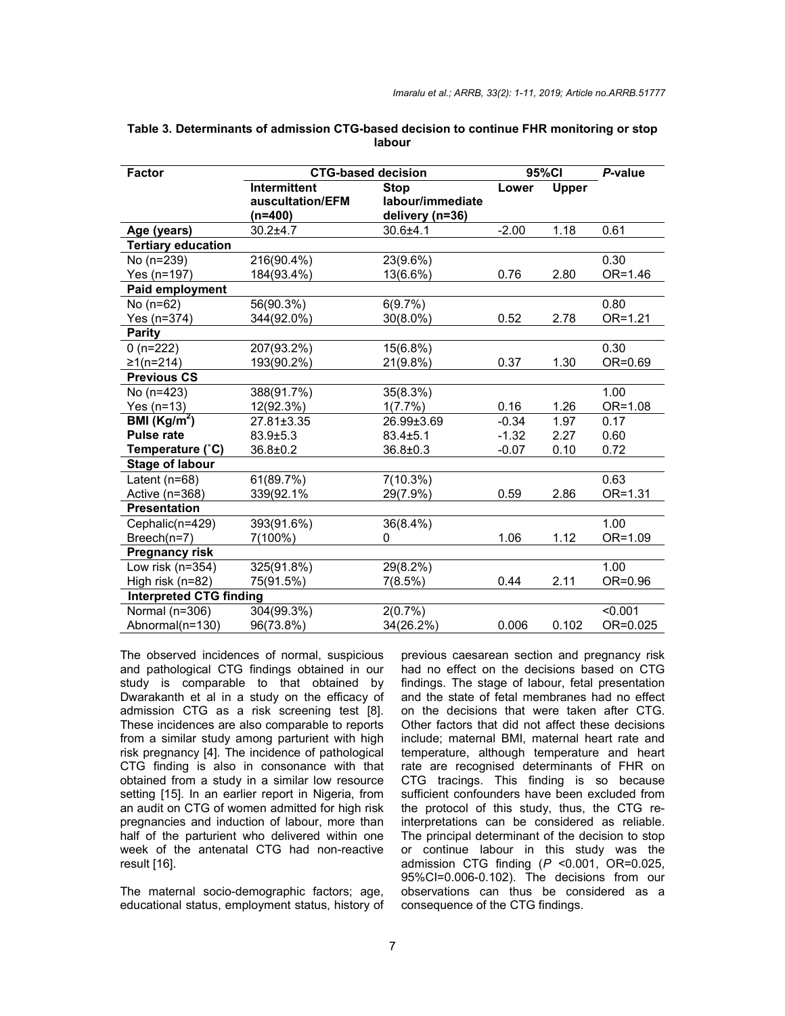| <b>Factor</b>                  |                     | <b>CTG-based decision</b> |         | 95%CI        |          |  |
|--------------------------------|---------------------|---------------------------|---------|--------------|----------|--|
|                                | <b>Intermittent</b> | <b>Stop</b>               | Lower   | <b>Upper</b> |          |  |
|                                | auscultation/EFM    | labour/immediate          |         |              |          |  |
|                                | (n=400)             | delivery (n=36)           |         |              |          |  |
| Age (years)                    | $30.2 + 4.7$        | $30.6 + 4.1$              | $-2.00$ | 1.18         | 0.61     |  |
| <b>Tertiary education</b>      |                     |                           |         |              |          |  |
| No (n=239)                     | 216(90.4%)          | 23(9.6%)                  |         |              | 0.30     |  |
| Yes (n=197)                    | 184(93.4%)          | 13(6.6%)                  | 0.76    | 2.80         | OR=1.46  |  |
| Paid employment                |                     |                           |         |              |          |  |
| No $(n=62)$                    | 56(90.3%)           | 6(9.7%)                   |         |              | 0.80     |  |
| Yes (n=374)                    | 344(92.0%)          | $30(8.0\%)$               | 0.52    | 2.78         | OR=1.21  |  |
| <b>Parity</b>                  |                     |                           |         |              |          |  |
| $0(n=222)$                     | 207(93.2%)          | 15(6.8%)                  |         |              | 0.30     |  |
| $≥1(n=214)$                    | 193(90.2%)          | 21(9.8%)                  | 0.37    | 1.30         | OR=0.69  |  |
| <b>Previous CS</b>             |                     |                           |         |              |          |  |
| No (n=423)                     | 388(91.7%)          | 35(8.3%)                  |         |              | 1.00     |  |
| Yes $(n=13)$                   | 12(92.3%)           | 1(7.7%)                   | 0.16    | 1.26         | OR=1.08  |  |
| BMI $(Kg/m^2)$                 | 27.81±3.35          | 26.99±3.69                | $-0.34$ | 1.97         | 0.17     |  |
| <b>Pulse rate</b>              | $83.9 \pm 5.3$      | $83.4 \pm 5.1$            | $-1.32$ | 2.27         | 0.60     |  |
| Temperature (°C)               | $36.8 \pm 0.2$      | $36.8 \pm 0.3$            | $-0.07$ | 0.10         | 0.72     |  |
| <b>Stage of labour</b>         |                     |                           |         |              |          |  |
| Latent ( $n=68$ )              | 61(89.7%)           | $7(10.3\%)$               |         |              | 0.63     |  |
| Active (n=368)                 | 339(92.1%           | 29(7.9%)                  | 0.59    | 2.86         | OR=1.31  |  |
| <b>Presentation</b>            |                     |                           |         |              |          |  |
| Cephalic(n=429)                | 393(91.6%)          | 36(8.4%)                  |         |              | 1.00     |  |
| Breech(n=7)                    | 7(100%)             | 0                         | 1.06    | 1.12         | OR=1.09  |  |
| <b>Pregnancy risk</b>          |                     |                           |         |              |          |  |
| Low risk (n=354)               | 325(91.8%)          | 29(8.2%)                  |         |              | 1.00     |  |
| High risk (n=82)               | 75(91.5%)           | 7(8.5%)                   | 0.44    | 2.11         | OR=0.96  |  |
| <b>Interpreted CTG finding</b> |                     |                           |         |              |          |  |
| Normal (n=306)                 | 304(99.3%)          | 2(0.7%)                   |         |              | < 0.001  |  |
| Abnormal(n=130)                | 96(73.8%)           | 34(26.2%)                 | 0.006   | 0.102        | OR=0.025 |  |

**Table 3. Determinants of admission CTG-based decision to continue FHR monitoring or stop labour**

The observed incidences of normal, suspicious and pathological CTG findings obtained in our study is comparable to that obtained by Dwarakanth et al in a study on the efficacy of admission CTG as a risk screening test [8]. These incidences are also comparable to reports from a similar study among parturient with high risk pregnancy [4]. The incidence of pathological CTG finding is also in consonance with that obtained from a study in a similar low resource setting [15]. In an earlier report in Nigeria, from an audit on CTG of women admitted for high risk pregnancies and induction of labour, more than half of the parturient who delivered within one week of the antenatal CTG had non-reactive result [16].

The maternal socio-demographic factors; age, educational status, employment status, history of previous caesarean section and pregnancy risk had no effect on the decisions based on CTG findings. The stage of labour, fetal presentation and the state of fetal membranes had no effect on the decisions that were taken after CTG. Other factors that did not affect these decisions include; maternal BMI, maternal heart rate and temperature, although temperature and heart rate are recognised determinants of FHR on CTG tracings. This finding is so because sufficient confounders have been excluded from the protocol of this study, thus, the CTG reinterpretations can be considered as reliable. The principal determinant of the decision to stop or continue labour in this study was the admission CTG finding (*P* <0.001, OR=0.025, 95%CI=0.006-0.102). The decisions from our observations can thus be considered as a consequence of the CTG findings.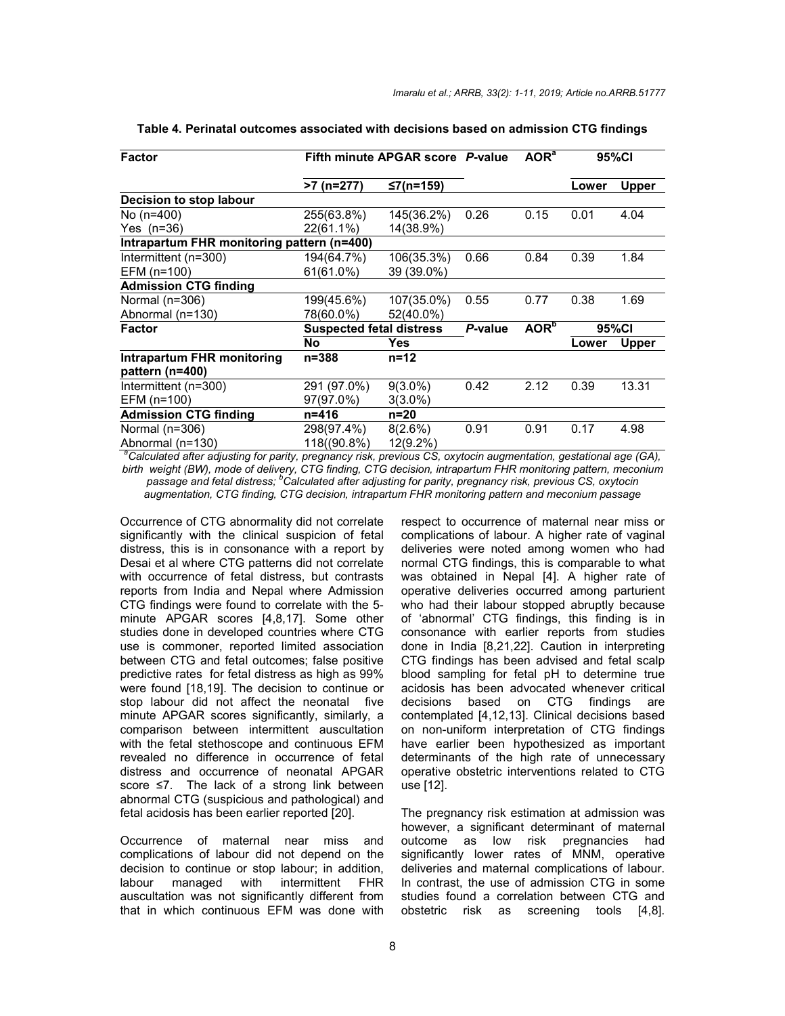| <b>Factor</b>                                                                                                                 | Fifth minute APGAR score P-value |             |                             | AOR <sup>a</sup> | 95%CI |              |  |  |
|-------------------------------------------------------------------------------------------------------------------------------|----------------------------------|-------------|-----------------------------|------------------|-------|--------------|--|--|
|                                                                                                                               | $>7$ (n=277)                     | ≤7(n=159)   |                             |                  | Lower | <b>Upper</b> |  |  |
| Decision to stop labour                                                                                                       |                                  |             |                             |                  |       |              |  |  |
| No (n=400)                                                                                                                    | 255(63.8%)                       | 145(36.2%)  | 0.26                        | 0.15             | 0.01  | 4.04         |  |  |
| Yes (n=36)                                                                                                                    | 22(61.1%)                        | 14(38.9%)   |                             |                  |       |              |  |  |
| Intrapartum FHR monitoring pattern (n=400)                                                                                    |                                  |             |                             |                  |       |              |  |  |
| Intermittent (n=300)                                                                                                          | 194(64.7%)                       | 106(35.3%)  | 0.66                        | 0.84             | 0.39  | 1.84         |  |  |
| EFM (n=100)                                                                                                                   | 61(61.0%)                        | 39 (39.0%)  |                             |                  |       |              |  |  |
| <b>Admission CTG finding</b>                                                                                                  |                                  |             |                             |                  |       |              |  |  |
| Normal (n=306)                                                                                                                | 199(45.6%)                       | 107(35.0%)  | 0.55                        | 0.77             | 0.38  | 1.69         |  |  |
| Abnormal (n=130)                                                                                                              | 78(60.0%)                        | 52(40.0%)   |                             |                  |       |              |  |  |
| Factor                                                                                                                        | <b>Suspected fetal distress</b>  |             | AOR <sup>b</sup><br>P-value | 95%CI            |       |              |  |  |
|                                                                                                                               | <b>No</b>                        | Yes         |                             |                  | Lower | Upper        |  |  |
| Intrapartum FHR monitoring<br>pattern (n=400)                                                                                 | $n = 388$                        | $n = 12$    |                             |                  |       |              |  |  |
| Intermittent (n=300)                                                                                                          | 291 (97.0%)                      | $9(3.0\%)$  | 0.42                        | 2.12             | 0.39  | 13.31        |  |  |
| EFM (n=100)                                                                                                                   | 97(97.0%)                        | $3(3.0\%)$  |                             |                  |       |              |  |  |
| <b>Admission CTG finding</b>                                                                                                  | n=416                            | $n=20$      |                             |                  |       |              |  |  |
| Normal $(n=306)$                                                                                                              | 298(97.4%)                       | $8(2.6\%)$  | 0.91                        | 0.91             | 0.17  | 4.98         |  |  |
| Abnormal (n=130)                                                                                                              | 118((90.8%)                      | $12(9.2\%)$ |                             |                  |       |              |  |  |
| <sup>a</sup> Calculated after adjusting for parity, pregnancy risk, previous CS, oxytocin augmentation, gestational age (GA), |                                  |             |                             |                  |       |              |  |  |

**Table 4. Perinatal outcomes associated with decisions based on admission CTG findings**

*birth weight (BW), mode of delivery, CTG finding, CTG decision, intrapartum FHR monitoring pattern, meconium passage and fetal distress; <sup>b</sup> Calculated after adjusting for parity, pregnancy risk, previous CS, oxytocin augmentation, CTG finding, CTG decision, intrapartum FHR monitoring pattern and meconium passage*

Occurrence of CTG abnormality did not correlate significantly with the clinical suspicion of fetal distress, this is in consonance with a report by Desai et al where CTG patterns did not correlate with occurrence of fetal distress, but contrasts reports from India and Nepal where Admission CTG findings were found to correlate with the 5 minute APGAR scores [4,8,17]. Some other studies done in developed countries where CTG use is commoner, reported limited association between CTG and fetal outcomes; false positive predictive rates for fetal distress as high as 99% were found [18,19]. The decision to continue or stop labour did not affect the neonatal five minute APGAR scores significantly, similarly, a comparison between intermittent auscultation with the fetal stethoscope and continuous EFM revealed no difference in occurrence of fetal distress and occurrence of neonatal APGAR score ≤7. The lack of a strong link between abnormal CTG (suspicious and pathological) and fetal acidosis has been earlier reported [20].

Occurrence of maternal near miss and complications of labour did not depend on the decision to continue or stop labour; in addition, labour managed with intermittent FHR auscultation was not significantly different from that in which continuous EFM was done with respect to occurrence of maternal near miss or complications of labour. A higher rate of vaginal deliveries were noted among women who had normal CTG findings, this is comparable to what was obtained in Nepal [4]. A higher rate of operative deliveries occurred among parturient who had their labour stopped abruptly because of 'abnormal' CTG findings, this finding is in consonance with earlier reports from studies done in India [8,21,22]. Caution in interpreting CTG findings has been advised and fetal scalp blood sampling for fetal pH to determine true acidosis has been advocated whenever critical decisions based on CTG findings are contemplated [4,12,13]. Clinical decisions based on non-uniform interpretation of CTG findings have earlier been hypothesized as important determinants of the high rate of unnecessary operative obstetric interventions related to CTG use [12].

The pregnancy risk estimation at admission was however, a significant determinant of maternal outcome as low risk pregnancies had significantly lower rates of MNM, operative deliveries and maternal complications of labour. In contrast, the use of admission CTG in some studies found a correlation between CTG and obstetric risk as screening tools [4,8].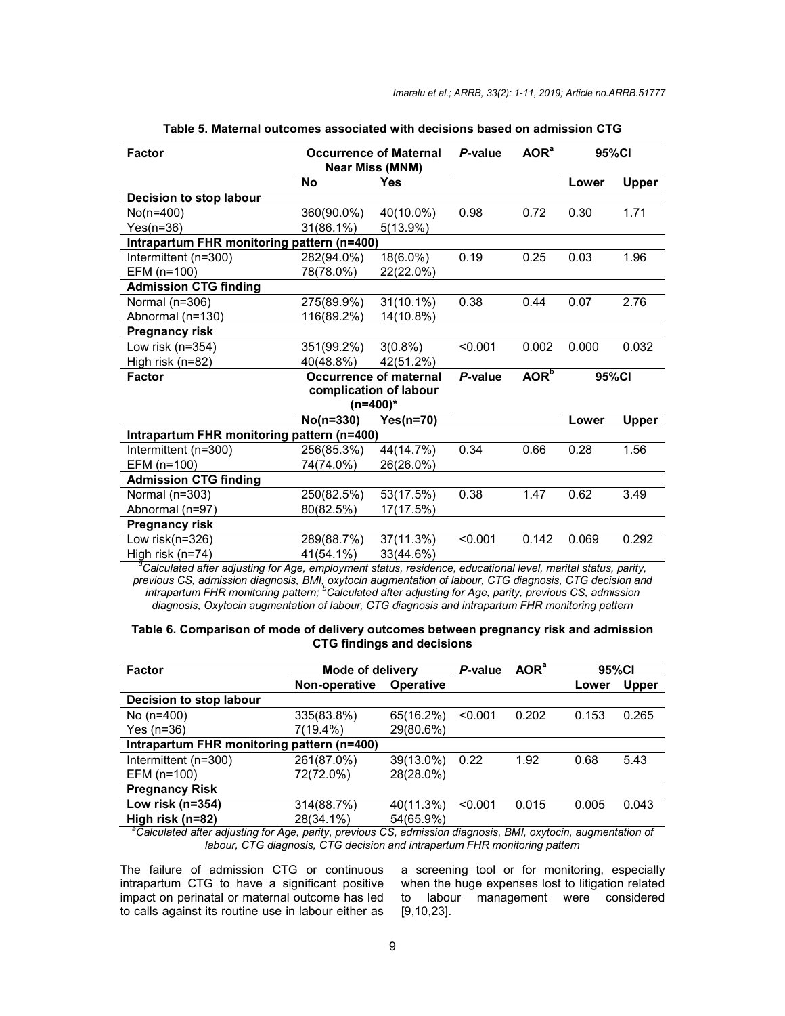| Factor                                                                                                                    | <b>Occurrence of Maternal</b><br><b>Near Miss (MNM)</b> |                        | P-value | AOR <sup>a</sup> |       | 95%CI        |  |  |
|---------------------------------------------------------------------------------------------------------------------------|---------------------------------------------------------|------------------------|---------|------------------|-------|--------------|--|--|
|                                                                                                                           | <b>No</b>                                               | <b>Yes</b>             |         |                  | Lower | <b>Upper</b> |  |  |
| Decision to stop labour                                                                                                   |                                                         |                        |         |                  |       |              |  |  |
| No(n=400)                                                                                                                 | 360(90.0%)                                              | 40(10.0%)              | 0.98    | 0.72             | 0.30  | 1.71         |  |  |
| $Yes(n=36)$                                                                                                               | 31(86.1%)                                               | $5(13.9\%)$            |         |                  |       |              |  |  |
| Intrapartum FHR monitoring pattern (n=400)                                                                                |                                                         |                        |         |                  |       |              |  |  |
| Intermittent (n=300)                                                                                                      | 282(94.0%)                                              | 18(6.0%)               | 0.19    | 0.25             | 0.03  | 1.96         |  |  |
| EFM (n=100)                                                                                                               | 78(78.0%)                                               | 22(22.0%)              |         |                  |       |              |  |  |
| <b>Admission CTG finding</b>                                                                                              |                                                         |                        |         |                  |       |              |  |  |
| Normal (n=306)                                                                                                            | 275(89.9%)                                              | $31(10.1\%)$           | 0.38    | 0.44             | 0.07  | 2.76         |  |  |
| Abnormal (n=130)                                                                                                          | 116(89.2%)                                              | 14(10.8%)              |         |                  |       |              |  |  |
| Pregnancy risk                                                                                                            |                                                         |                        |         |                  |       |              |  |  |
| Low risk (n=354)                                                                                                          | 351(99.2%)                                              | $3(0.8\%)$             | < 0.001 | 0.002            | 0.000 | 0.032        |  |  |
| High risk (n=82)                                                                                                          | 40(48.8%)                                               | 42(51.2%)              |         |                  |       |              |  |  |
| <b>Factor</b>                                                                                                             |                                                         | Occurrence of maternal | P-value | AOR <sup>b</sup> |       | 95%CI        |  |  |
|                                                                                                                           |                                                         | complication of labour |         |                  |       |              |  |  |
|                                                                                                                           |                                                         | (n=400)*               |         |                  |       |              |  |  |
|                                                                                                                           | $No(n=330)$                                             | $Yes(n=70)$            |         |                  | Lower | <b>Upper</b> |  |  |
| Intrapartum FHR monitoring pattern (n=400)                                                                                |                                                         |                        |         |                  |       |              |  |  |
| Intermittent (n=300)                                                                                                      | 256(85.3%)                                              | 44(14.7%)              | 0.34    | 0.66             | 0.28  | 1.56         |  |  |
| EFM (n=100)                                                                                                               | 74(74.0%)                                               | 26(26.0%)              |         |                  |       |              |  |  |
| <b>Admission CTG finding</b>                                                                                              |                                                         |                        |         |                  |       |              |  |  |
| Normal (n=303)                                                                                                            | 250(82.5%)                                              | 53(17.5%)              | 0.38    | 1.47             | 0.62  | 3.49         |  |  |
| Abnormal (n=97)                                                                                                           | 80(82.5%)                                               | 17(17.5%)              |         |                  |       |              |  |  |
| Pregnancy risk                                                                                                            |                                                         |                        |         |                  |       |              |  |  |
| Low risk(n=326)                                                                                                           | 289(88.7%)                                              | 37(11.3%)              | < 0.001 | 0.142            | 0.069 | 0.292        |  |  |
| High risk (n=74)                                                                                                          | 41(54.1%)                                               | 33(44.6%)              |         |                  |       |              |  |  |
| <sup>a</sup> Calculated after adjusting for Age, employment status, residence, educational level, marital status, parity, |                                                         |                        |         |                  |       |              |  |  |

**Table 5. Maternal outcomes associated with decisions based on admission CTG**

previous CS, admission diagnosis, BMI, oxytocin augmentation of labour, CTG diagnosis, CTG decision and<br>intrapartum FHR monitoring pattern; <sup>b</sup>Calculated after adjusting for Age, parity, previous CS, admission *diagnosis, Oxytocin augmentation of labour, CTG diagnosis and intrapartum FHR monitoring pattern*

| Table 6. Comparison of mode of delivery outcomes between pregnancy risk and admission |
|---------------------------------------------------------------------------------------|
| <b>CTG findings and decisions</b>                                                     |

| <b>Factor</b>                                                                                                             | Mode of delivery |                  | P-value | AOR <sup>a</sup> | 95%CI |              |  |
|---------------------------------------------------------------------------------------------------------------------------|------------------|------------------|---------|------------------|-------|--------------|--|
|                                                                                                                           | Non-operative    | <b>Operative</b> |         |                  | Lower | <b>Upper</b> |  |
| Decision to stop labour                                                                                                   |                  |                  |         |                  |       |              |  |
| No $(n=400)$                                                                                                              | 335(83.8%)       | 65(16.2%)        | < 0.001 | 0.202            | 0.153 | 0.265        |  |
| Yes (n=36)                                                                                                                | 7(19.4%)         | 29(80.6%)        |         |                  |       |              |  |
| Intrapartum FHR monitoring pattern (n=400)                                                                                |                  |                  |         |                  |       |              |  |
| Intermittent (n=300)                                                                                                      | 261(87.0%)       | 39(13.0%)        | 0.22    | 1.92             | 0.68  | 5.43         |  |
| EFM (n=100)                                                                                                               | 72(72.0%)        | 28(28.0%)        |         |                  |       |              |  |
| <b>Pregnancy Risk</b>                                                                                                     |                  |                  |         |                  |       |              |  |
| Low risk ( $n=354$ )                                                                                                      | 314(88.7%)       | 40(11.3%)        | < 0.001 | 0.015            | 0.005 | 0.043        |  |
| High risk (n=82)                                                                                                          | 28(34.1%)        | 54(65.9%)        |         |                  |       |              |  |
| <sup>a</sup> Calculated after adjusting for Age, parity, previous CS, admission diagnosis, BMI, oxytocin, augmentation of |                  |                  |         |                  |       |              |  |

*labour, CTG diagnosis, CTG decision and intrapartum FHR monitoring pattern*

The failure of admission CTG or continuous intrapartum CTG to have a significant positive impact on perinatal or maternal outcome has led to calls against its routine use in labour either as

a screening tool or for monitoring, especially when the huge expenses lost to litigation related to labour management were considered [9,10,23].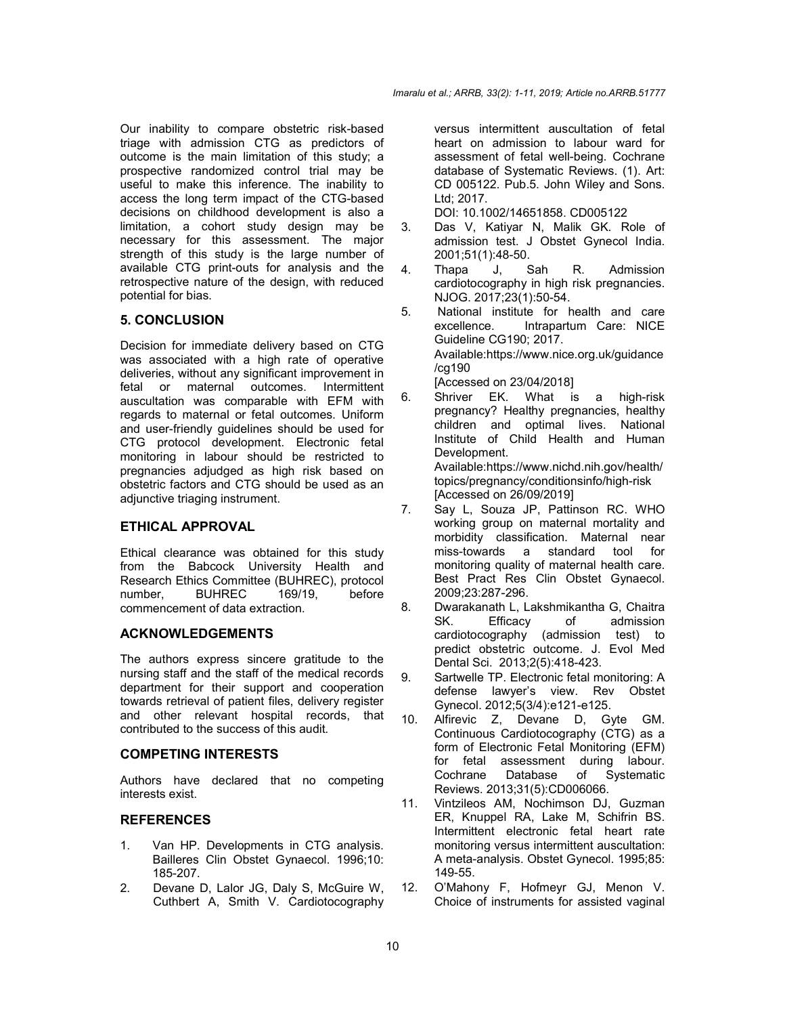Our inability to compare obstetric risk-based triage with admission CTG as predictors of outcome is the main limitation of this study; a prospective randomized control trial may be useful to make this inference. The inability to access the long term impact of the CTG-based decisions on childhood development is also a limitation, a cohort study design may be necessary for this assessment. The major strength of this study is the large number of available CTG print-outs for analysis and the retrospective nature of the design, with reduced potential for bias.

## **5. CONCLUSION**

Decision for immediate delivery based on CTG was associated with a high rate of operative deliveries, without any significant improvement in<br>fetal or maternal outcomes. Intermittent maternal outcomes. auscultation was comparable with EFM with regards to maternal or fetal outcomes. Uniform and user-friendly guidelines should be used for CTG protocol development. Electronic fetal monitoring in labour should be restricted to pregnancies adjudged as high risk based on obstetric factors and CTG should be used as an adjunctive triaging instrument.

#### **ETHICAL APPROVAL**

Ethical clearance was obtained for this study from the Babcock University Health and Research Ethics Committee (BUHREC), protocol<br>number. BUHREC 169/19. before number, BUHREC 169/19, before commencement of data extraction.

## **ACKNOWLEDGEMENTS**

The authors express sincere gratitude to the nursing staff and the staff of the medical records department for their support and cooperation towards retrieval of patient files, delivery register and other relevant hospital records, that contributed to the success of this audit.

#### **COMPETING INTERESTS**

Authors have declared that no competing interests exist.

#### **REFERENCES**

- 1. Van HP. Developments in CTG analysis. Bailleres Clin Obstet Gynaecol. 1996;10: 185-207.
- 2. Devane D, Lalor JG, Daly S, McGuire W, Cuthbert A, Smith V. Cardiotocography

versus intermittent auscultation of fetal heart on admission to labour ward for assessment of fetal well-being. Cochrane database of Systematic Reviews. (1). Art: CD 005122. Pub.5. John Wiley and Sons. Ltd; 2017.

DOI: 10.1002/14651858. CD005122

- 3. Das V, Katiyar N, Malik GK. Role of admission test. J Obstet Gynecol India. 2001;51(1):48-50.
- 4. Thapa J, Sah R. Admission cardiotocography in high risk pregnancies. NJOG. 2017;23(1):50-54.
- 5. National institute for health and care excellence. Intrapartum Care: NICE Guideline CG190; 2017. Available:https://www.nice.org.uk/guidance /cg190 [Accessed on 23/04/2018]
- 6. Shriver EK. What is a high-risk pregnancy? Healthy pregnancies, healthy children and optimal lives. National Institute of Child Health and Human Development. Available:https://www.nichd.nih.gov/health/ topics/pregnancy/conditionsinfo/high-risk [Accessed on 26/09/2019]
- 7. Say L, Souza JP, Pattinson RC. WHO working group on maternal mortality and morbidity classification. Maternal near miss-towards a standard tool for monitoring quality of maternal health care. Best Pract Res Clin Obstet Gynaecol. 2009;23:287-296.
- 8. Dwarakanath L, Lakshmikantha G, Chaitra SK. Efficacy of admission cardiotocography (admission test) to predict obstetric outcome. J. Evol Med Dental Sci. 2013;2(5):418-423.
- 9. Sartwelle TP. Electronic fetal monitoring: A defense lawyer's view. Rev Obstet Gynecol. 2012;5(3/4):e121-e125.
- 10. Alfirevic Z, Devane D, Gyte GM. Continuous Cardiotocography (CTG) as a form of Electronic Fetal Monitoring (EFM) for fetal assessment during labour. Cochrane Database of Systematic Reviews. 2013;31(5):CD006066.
- 11. Vintzileos AM, Nochimson DJ, Guzman ER, Knuppel RA, Lake M, Schifrin BS. Intermittent electronic fetal heart rate monitoring versus intermittent auscultation: A meta-analysis. Obstet Gynecol. 1995;85: 149-55.
- 12. O'Mahony F, Hofmeyr GJ, Menon V. Choice of instruments for assisted vaginal